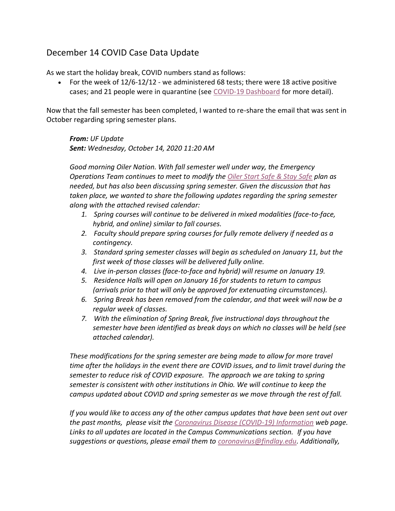## December 14 COVID Case Data Update

As we start the holiday break, COVID numbers stand as follows:

• For the week of 12/6-12/12 - we administered 68 tests; there were 18 active positive cases; and 21 people were in quarantine (see [COVID-19 Dashboard](https://www.findlay.edu/oiler-start-safe-and-stay-safe/covid-dashboard) for more detail).

Now that the fall semester has been completed, I wanted to re-share the email that was sent in October regarding spring semester plans.

*From: UF Update Sent: Wednesday, October 14, 2020 11:20 AM*

*Good morning Oiler Nation. With fall semester well under way, the Emergency Operations Team continues to meet to modify the [Oiler Start Safe & Stay Safe](https://www.findlay.edu/oiler-start-safe-and-stay-safe) plan as needed, but has also been discussing spring semester. Given the discussion that has taken place, we wanted to share the following updates regarding the spring semester along with the attached revised calendar:*

- *1. Spring courses will continue to be delivered in mixed modalities (face-to-face, hybrid, and online) similar to fall courses.*
- *2. Faculty should prepare spring courses for fully remote delivery if needed as a contingency.*
- *3. Standard spring semester classes will begin as scheduled on January 11, but the first week of those classes will be delivered fully online.*
- *4. Live in-person classes (face-to-face and hybrid) will resume on January 19.*
- *5. Residence Halls will open on January 16 for students to return to campus (arrivals prior to that will only be approved for extenuating circumstances).*
- *6. Spring Break has been removed from the calendar, and that week will now be a regular week of classes.*
- *7. With the elimination of Spring Break, five instructional days throughout the semester have been identified as break days on which no classes will be held (see attached calendar).*

*These modifications for the spring semester are being made to allow for more travel time after the holidays in the event there are COVID issues, and to limit travel during the semester to reduce risk of COVID exposure. The approach we are taking to spring semester is consistent with other institutions in Ohio. We will continue to keep the campus updated about COVID and spring semester as we move through the rest of fall.*

*If you would like to access any of the other campus updates that have been sent out over the past months, please visit the [Coronavirus Disease \(COVID-19\) Information](https://www.findlay.edu/offices/student-affairs/safety-security/health-alerts) web page. Links to all updates are located in the Campus Communications section. If you have suggestions or questions, please email them to [coronavirus@findlay.edu.](mailto:coronavirus@findlay.edu) Additionally,*